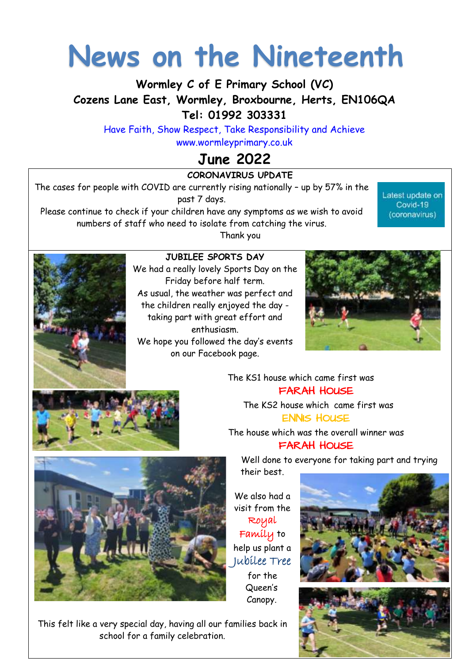# **News on the Nineteenth**

**Wormley C of E Primary School (VC) Cozens Lane East, Wormley, Broxbourne, Herts, EN106QA Tel: 01992 303331** 

Have Faith, Show Respect, Take Responsibility and Achieve [www.wormleyprimary.co.uk](http://www.wormleyprimary.co.uk/)

# **June 2022**

**CORONAVIRUS UPDATE** The cases for people with COVID are currently rising nationally – up by 57% in the past 7 days.

Please continue to check if your children have any symptoms as we wish to avoid numbers of staff who need to isolate from catching the virus. Thank you

Latest update on Covid-19 (coronavirus)



#### **JUBILEE SPORTS DAY**

We had a really lovely Sports Day on the Friday before half term. As usual, the weather was perfect and the children really enjoyed the day taking part with great effort and enthusiasm. We hope you followed the day's events on our Facebook page.





 The KS1 house which came first was FARAH HOUSE The KS2 house which came first was

ENNIS HOUSE

The house which was the overall winner was FARAH HOUSE

Well done to everyone for taking part and trying their best.



We also had a visit from the Royal Family to help us plant a Jubilee Tree for the Queen's

Canopy.





This felt like a very special day, having all our families back in school for a family celebration.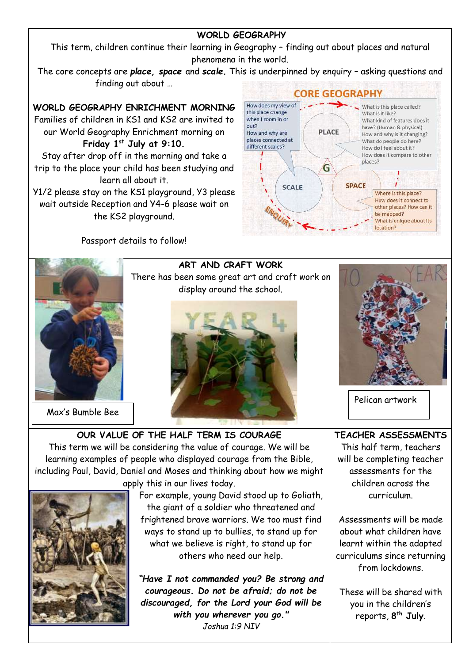#### **WORLD GEOGRAPHY**

This term, children continue their learning in Geography – finding out about places and natural phenomena in the world.

The core concepts are *place, space* and *scale.* This is underpinned by enquiry – asking questions and finding out about …

#### **WORLD GEOGRAPHY ENRICHMENT MORNING**

Families of children in KS1 and KS2 are invited to our World Geography Enrichment morning on **Friday 1st July at 9:10.**

Stay after drop off in the morning and take a trip to the place your child has been studying and learn all about it.

Y1/2 please stay on the KS1 playground, Y3 please wait outside Reception and Y4-6 please wait on the KS2 playground.

Passport details to follow!





Max's Bumble Bee

**ART AND CRAFT WORK** There has been some great art and craft work on display around the school.





Pelican artwork

**OUR VALUE OF THE HALF TERM IS COURAGE** This term we will be considering the value of courage. We will be learning examples of people who displayed courage from the Bible, including Paul, David, Daniel and Moses and thinking about how we might apply this in our lives today.



For example, young David stood up to Goliath, the giant of a soldier who threatened and frightened brave warriors. We too must find ways to stand up to bullies, to stand up for what we believe is right, to stand up for others who need our help.

*"Have I not commanded you? Be strong and courageous. Do not be afraid; do not be discouraged, for the Lord your God will be with you wherever you go." [Joshua 1:9](https://www.christianity.com/bible/niv/joshua/1-9) NIV*

**TEACHER ASSESSMENTS** This half term, teachers will be completing teacher assessments for the children across the curriculum.

Assessments will be made about what children have learnt within the adapted curriculums since returning from lockdowns.

These will be shared with you in the children's reports, **8 th July**.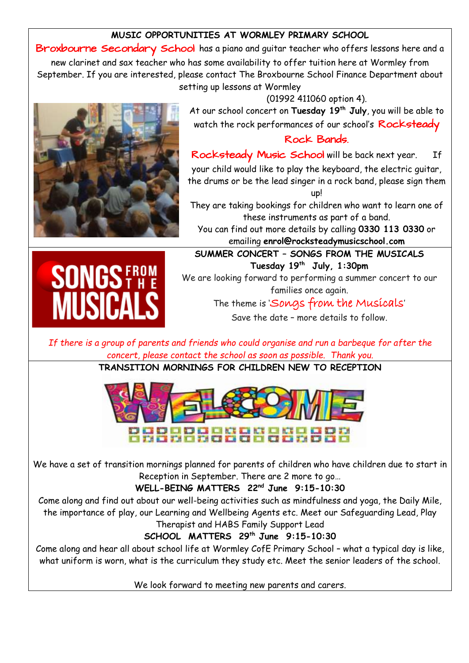#### **MUSIC OPPORTUNITIES AT WORMLEY PRIMARY SCHOOL**

Broxbourne Secondary School has a piano and quitar teacher who offers lessons here and a new clarinet and sax teacher who has some availability to offer tuition here at Wormley from September. If you are interested, please contact The Broxbourne School Finance Department about setting up lessons at Wormley



(01992 411060 option 4). At our school concert on **Tuesday 19th July**, you will be able to watch the rock performances of our school's Rocksteady

#### Rock Bands.

Rocksteady Music School will be back next year. If your child would like to play the keyboard, the electric guitar, the drums or be the lead singer in a rock band, please sign them up!

They are taking bookings for children who want to learn one of these instruments as part of a band.

You can find out more details by calling **0330 113 0330** or emailing **enrol@rocksteadymusicschool.com**



**SUMMER CONCERT – SONGS FROM THE MUSICALS Tuesday 19th July, 1:30pm** We are looking forward to performing a summer concert to our families once again.

The theme is 'Songs from the Musicals'

Save the date – more details to follow.

*If there is a group of parents and friends who could organise and run a barbeque for after the concert, please contact the school as soon as possible. Thank you.*

**TRANSITION MORNINGS FOR CHILDREN NEW TO RECEPTION**



We have a set of transition mornings planned for parents of children who have children due to start in Reception in September. There are 2 more to go…

**WELL-BEING MATTERS 22nd June 9:15-10:30**

Come along and find out about our well-being activities such as mindfulness and yoga, the Daily Mile, the importance of play, our Learning and Wellbeing Agents etc. Meet our Safeguarding Lead, Play

Therapist and HABS Family Support Lead

**SCHOOL MATTERS 29th June 9:15-10:30**

Come along and hear all about school life at Wormley CofE Primary School – what a typical day is like, what uniform is worn, what is the curriculum they study etc. Meet the senior leaders of the school.

We look forward to meeting new parents and carers.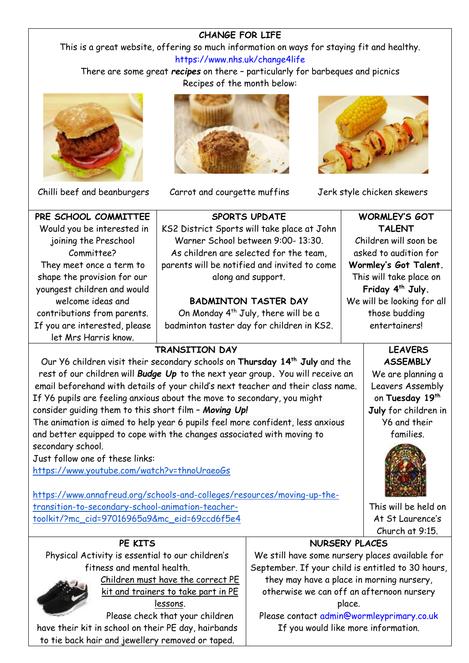#### **CHANGE FOR LIFE**

This is a great website, offering so much information on ways for staying fit and healthy. <https://www.nhs.uk/change4life>

There are some great *recipes* on there – particularly for barbeques and picnics Recipes of the month below:





Chilli beef and beanburgers Carrot and courgette muffins Jerk style chicken skewers



| PRE SCHOOL COMMITTEE          |           |
|-------------------------------|-----------|
| Would you be interested in    | <b>KS</b> |
| joining the Preschool         |           |
| Committee?                    |           |
| They meet once a term to      |           |
| shape the provision for our   |           |
| youngest children and would   |           |
| welcome ideas and             |           |
| contributions from parents.   |           |
| If you are interested, please |           |
| let Mrs Harris know.          |           |

#### **SPORTS UPDATE** 2 District Sports will take place at John Warner School between 9:00- 13:30. As children are selected for the team, ents will be notified and invited to come along and support.

#### **BADMINTON TASTER DAY**

On Monday  $4^{th}$  July, there will be a dminton taster day for children in KS2.

### **TRANSITION DAY**

Our Y6 children visit their secondary schools on **Thursday 14th July** and the rest of our children will *Budge Up* to the next year group**.** You will receive an email beforehand with details of your child's next teacher and their class name. If Y6 pupils are feeling anxious about the move to secondary, you might consider guiding them to this short film – *Moving Up!*

The animation is aimed to help year 6 pupils feel more confident, less anxious and better equipped to cope with the changes associated with moving to secondary school.

Just follow one of these links:

<https://www.youtube.com/watch?v=thnoUraeoGs>

[https://www.annafreud.org/schools-and-colleges/resources/moving-up-the](https://www.annafreud.org/schools-and-colleges/resources/moving-up-the-transition-to-secondary-school-animation-teacher-toolkit/?mc_cid=97016965a9&mc_eid=69ccd6f5e4)[transition-to-secondary-school-animation-teacher](https://www.annafreud.org/schools-and-colleges/resources/moving-up-the-transition-to-secondary-school-animation-teacher-toolkit/?mc_cid=97016965a9&mc_eid=69ccd6f5e4)[toolkit/?mc\\_cid=97016965a9&mc\\_eid=69ccd6f5e4](https://www.annafreud.org/schools-and-colleges/resources/moving-up-the-transition-to-secondary-school-animation-teacher-toolkit/?mc_cid=97016965a9&mc_eid=69ccd6f5e4)

#### **WORMLEY'S GOT TALENT** Children will soon be asked to audition for **Wormley's Got Talent.** This will take place on **Friday 4th July.** We will be looking for all those budding entertainers!

#### **LEAVERS ASSEMBLY**

We are planning a Leavers Assembly on **Tuesday 19th July** for children in Y6 and their families.



This will be held on At St Laurence's Church at 9:15.

### **PE KITS**

Physical Activity is essential to our children's fitness and mental health.



Children must have the correct PE kit and trainers to take part in PE lessons.

Please check that your children have their kit in school on their PE day, hairbands to tie back hair and jewellery removed or taped.

### **NURSERY PLACES**

We still have some nursery places available for September. If your child is entitled to 30 hours, they may have a place in morning nursery, otherwise we can off an afternoon nursery place.

Please contact [admin@wormleyprimary.co.uk](mailto:admin@wormleyprimary.co.uk) If you would like more information.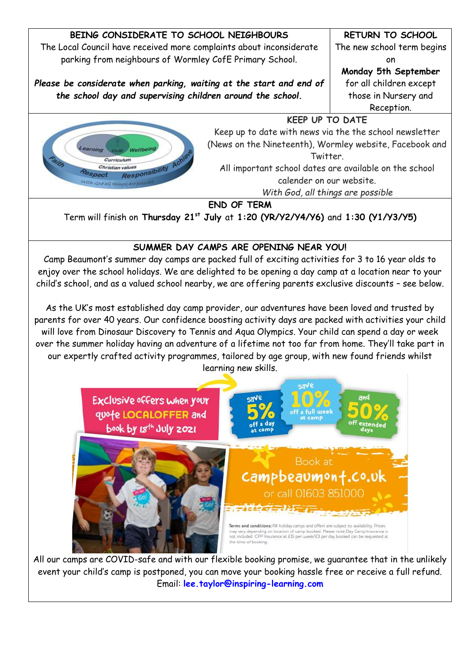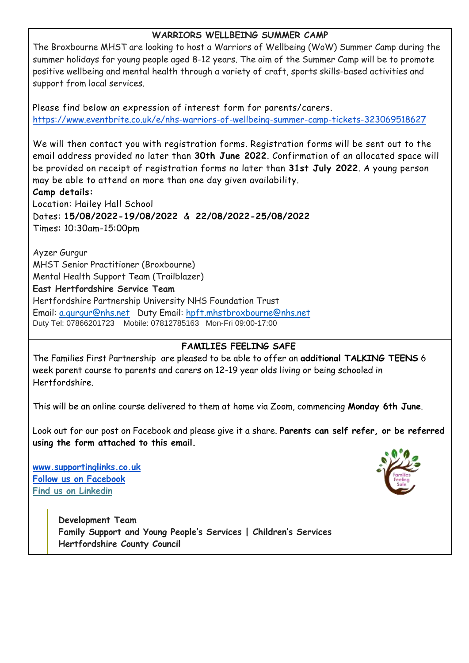#### **WARRIORS WELLBEING SUMMER CAMP**

The Broxbourne MHST are looking to host a Warriors of Wellbeing (WoW) Summer Camp during the summer holidays for young people aged 8-12 years. The aim of the Summer Camp will be to promote positive wellbeing and mental health through a variety of craft, sports skills-based activities and support from local services.

#### Please find below an expression of interest form for parents/carers. <https://www.eventbrite.co.uk/e/nhs-warriors-of-wellbeing-summer-camp-tickets-323069518627>

We will then contact you with registration forms. Registration forms will be sent out to the email address provided no later than **30th June 2022**. Confirmation of an allocated space will be provided on receipt of registration forms no later than **31st July 2022**. A young person may be able to attend on more than one day given availability. **Camp details:**

Location: Hailey Hall School Dates: **15/08/2022-19/08/2022** & **22/08/2022-25/08/2022** Times: 10:30am-15:00pm

Ayzer Gurgur MHST Senior Practitioner (Broxbourne) Mental Health Support Team (Trailblazer) **East Hertfordshire Service Team** Hertfordshire Partnership University NHS Foundation Trust Email: [a.gurgur@nhs.net](mailto:a.gurgur@nhs.net) Duty Email: [hpft.mhstbroxbourne@nhs.net](mailto:hpft.mhstbroxbourne@nhs.net) Duty Tel: 07866201723 Mobile: 07812785163 Mon-Fri 09:00-17:00

#### **FAMILIES FEELING SAFE**

The Families First Partnership are pleased to be able to offer an **additional TALKING TEENS** 6 week parent course to parents and carers on 12-19 year olds living or being schooled in Hertfordshire.

This will be an online course delivered to them at home via Zoom, commencing **Monday 6th June**.

Look out for our post on Facebook and please give it a share. **Parents can self refer, or be referred using the form attached to this email.**

**[www.supportinglinks.co.uk](http://www.supportinglinks.co.uk/) [Follow us on Facebook](https://www.facebook.com/supportinglinks) [Find us on Linkedin](https://www.linkedin.com/company/supporting-links-limited)**



**Development Team Family Support and Young People's Services | Children's Services Hertfordshire County Council**